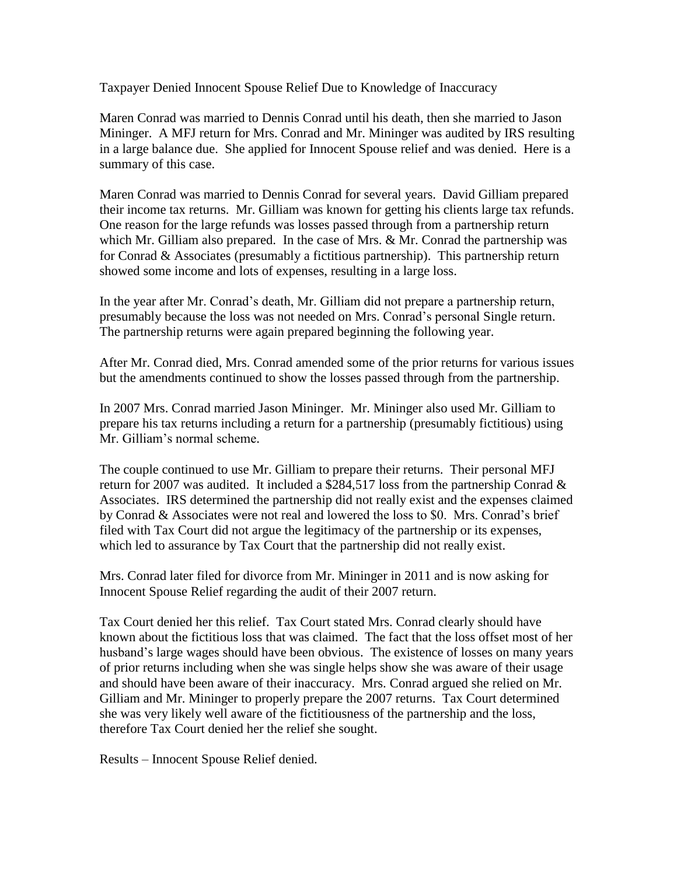Taxpayer Denied Innocent Spouse Relief Due to Knowledge of Inaccuracy

Maren Conrad was married to Dennis Conrad until his death, then she married to Jason Mininger. A MFJ return for Mrs. Conrad and Mr. Mininger was audited by IRS resulting in a large balance due. She applied for Innocent Spouse relief and was denied. Here is a summary of this case.

Maren Conrad was married to Dennis Conrad for several years. David Gilliam prepared their income tax returns. Mr. Gilliam was known for getting his clients large tax refunds. One reason for the large refunds was losses passed through from a partnership return which Mr. Gilliam also prepared. In the case of Mrs. & Mr. Conrad the partnership was for Conrad & Associates (presumably a fictitious partnership). This partnership return showed some income and lots of expenses, resulting in a large loss.

In the year after Mr. Conrad's death, Mr. Gilliam did not prepare a partnership return, presumably because the loss was not needed on Mrs. Conrad's personal Single return. The partnership returns were again prepared beginning the following year.

After Mr. Conrad died, Mrs. Conrad amended some of the prior returns for various issues but the amendments continued to show the losses passed through from the partnership.

In 2007 Mrs. Conrad married Jason Mininger. Mr. Mininger also used Mr. Gilliam to prepare his tax returns including a return for a partnership (presumably fictitious) using Mr. Gilliam's normal scheme.

The couple continued to use Mr. Gilliam to prepare their returns. Their personal MFJ return for 2007 was audited. It included a \$284,517 loss from the partnership Conrad  $\&$ Associates. IRS determined the partnership did not really exist and the expenses claimed by Conrad & Associates were not real and lowered the loss to \$0. Mrs. Conrad's brief filed with Tax Court did not argue the legitimacy of the partnership or its expenses, which led to assurance by Tax Court that the partnership did not really exist.

Mrs. Conrad later filed for divorce from Mr. Mininger in 2011 and is now asking for Innocent Spouse Relief regarding the audit of their 2007 return.

Tax Court denied her this relief. Tax Court stated Mrs. Conrad clearly should have known about the fictitious loss that was claimed. The fact that the loss offset most of her husband's large wages should have been obvious. The existence of losses on many years of prior returns including when she was single helps show she was aware of their usage and should have been aware of their inaccuracy. Mrs. Conrad argued she relied on Mr. Gilliam and Mr. Mininger to properly prepare the 2007 returns. Tax Court determined she was very likely well aware of the fictitiousness of the partnership and the loss, therefore Tax Court denied her the relief she sought.

Results – Innocent Spouse Relief denied.